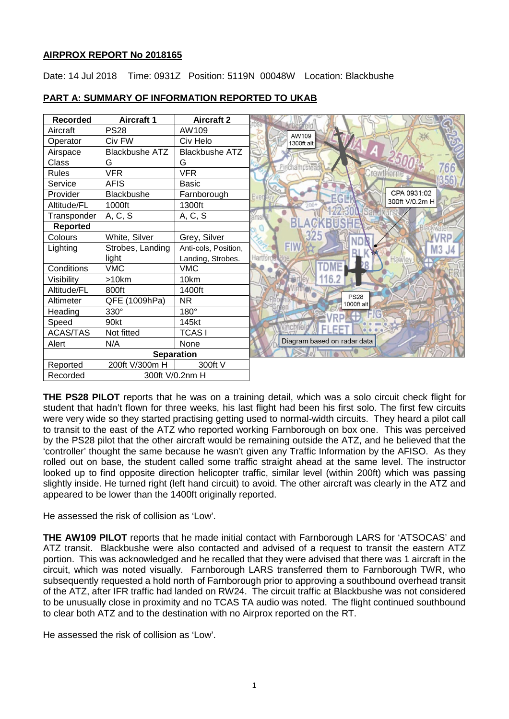# **AIRPROX REPORT No 2018165**

Date: 14 Jul 2018 Time: 0931Z Position: 5119N 00048W Location: Blackbushe

| <b>Recorded</b>   | <b>Aircraft 1</b>     | <b>Aircraft 2</b>     |                             |
|-------------------|-----------------------|-----------------------|-----------------------------|
| Aircraft          | <b>PS28</b>           | AW109                 | AW109                       |
| Operator          | Civ FW                | Civ Helo              | 1300ft alt                  |
| Airspace          | <b>Blackbushe ATZ</b> | <b>Blackbushe ATZ</b> |                             |
| Class             | G                     | G                     |                             |
| <b>Rules</b>      | <b>VFR</b>            | <b>VFR</b>            | Crowthe                     |
| Service           | <b>AFIS</b>           | <b>Basic</b>          |                             |
| Provider          | Blackbushe            | Farnborough           | CPA 0931:02<br>Ever         |
| Altitude/FL       | 1000ft                | 1300ft                | 300ft V/0.2m H              |
| Transponder       | A, C, S               | A, C, S               |                             |
| <b>Reported</b>   |                       |                       |                             |
| Colours           | White, Silver         | Grey, Silver          |                             |
| Lighting          | Strobes, Landing      | Anti-cols, Position,  | <b>FIM</b>                  |
|                   | light                 | Landing, Strobes.     | Hawley                      |
| Conditions        | <b>VMC</b>            | <b>VMC</b>            |                             |
| Visibility        | >10km                 | 10km                  |                             |
| Altitude/FL       | 800ft                 | 1400ft                |                             |
| Altimeter         | QFE (1009hPa)         | <b>NR</b>             | <b>PS28</b><br>1000ft alt   |
| Heading           | 330°                  | 180°                  |                             |
| Speed             | 90kt                  | 145kt                 |                             |
| <b>ACAS/TAS</b>   | Not fitted            | <b>TCASI</b>          |                             |
| Alert             | N/A                   | None                  | Diagram based on radar data |
| <b>Separation</b> |                       |                       |                             |
| Reported          | 200ft V/300m H        | 300ft V               |                             |
| Recorded          | 300ft V/0.2nm H       |                       |                             |

# **PART A: SUMMARY OF INFORMATION REPORTED TO UKAB**

**THE PS28 PILOT** reports that he was on a training detail, which was a solo circuit check flight for student that hadn't flown for three weeks, his last flight had been his first solo. The first few circuits were very wide so they started practising getting used to normal-width circuits. They heard a pilot call to transit to the east of the ATZ who reported working Farnborough on box one. This was perceived by the PS28 pilot that the other aircraft would be remaining outside the ATZ, and he believed that the 'controller' thought the same because he wasn't given any Traffic Information by the AFISO. As they rolled out on base, the student called some traffic straight ahead at the same level. The instructor looked up to find opposite direction helicopter traffic, similar level (within 200ft) which was passing slightly inside. He turned right (left hand circuit) to avoid. The other aircraft was clearly in the ATZ and appeared to be lower than the 1400ft originally reported.

He assessed the risk of collision as 'Low'.

**THE AW109 PILOT** reports that he made initial contact with Farnborough LARS for 'ATSOCAS' and ATZ transit. Blackbushe were also contacted and advised of a request to transit the eastern ATZ portion. This was acknowledged and he recalled that they were advised that there was 1 aircraft in the circuit, which was noted visually. Farnborough LARS transferred them to Farnborough TWR, who subsequently requested a hold north of Farnborough prior to approving a southbound overhead transit of the ATZ, after IFR traffic had landed on RW24. The circuit traffic at Blackbushe was not considered to be unusually close in proximity and no TCAS TA audio was noted. The flight continued southbound to clear both ATZ and to the destination with no Airprox reported on the RT.

He assessed the risk of collision as 'Low'.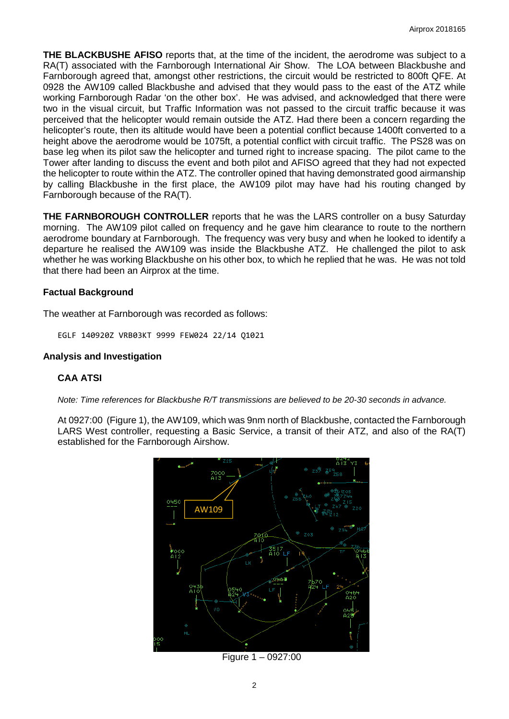**THE BLACKBUSHE AFISO** reports that, at the time of the incident, the aerodrome was subject to a RA(T) associated with the Farnborough International Air Show. The LOA between Blackbushe and Farnborough agreed that, amongst other restrictions, the circuit would be restricted to 800ft QFE. At 0928 the AW109 called Blackbushe and advised that they would pass to the east of the ATZ while working Farnborough Radar 'on the other box'. He was advised, and acknowledged that there were two in the visual circuit, but Traffic Information was not passed to the circuit traffic because it was perceived that the helicopter would remain outside the ATZ. Had there been a concern regarding the helicopter's route, then its altitude would have been a potential conflict because 1400ft converted to a height above the aerodrome would be 1075ft, a potential conflict with circuit traffic. The PS28 was on base leg when its pilot saw the helicopter and turned right to increase spacing. The pilot came to the Tower after landing to discuss the event and both pilot and AFISO agreed that they had not expected the helicopter to route within the ATZ. The controller opined that having demonstrated good airmanship by calling Blackbushe in the first place, the AW109 pilot may have had his routing changed by Farnborough because of the RA(T).

**THE FARNBOROUGH CONTROLLER** reports that he was the LARS controller on a busy Saturday morning. The AW109 pilot called on frequency and he gave him clearance to route to the northern aerodrome boundary at Farnborough. The frequency was very busy and when he looked to identify a departure he realised the AW109 was inside the Blackbushe ATZ. He challenged the pilot to ask whether he was working Blackbushe on his other box, to which he replied that he was. He was not told that there had been an Airprox at the time.

# **Factual Background**

The weather at Farnborough was recorded as follows:

EGLF 140920Z VRB03KT 9999 FEW024 22/14 Q1021

### **Analysis and Investigation**

# **CAA ATSI**

*Note: Time references for Blackbushe R/T transmissions are believed to be 20-30 seconds in advance.*

At 0927:00 (Figure 1), the AW109, which was 9nm north of Blackbushe, contacted the Farnborough LARS West controller, requesting a Basic Service, a transit of their ATZ, and also of the RA(T) established for the Farnborough Airshow.



Figure 1 – 0927:00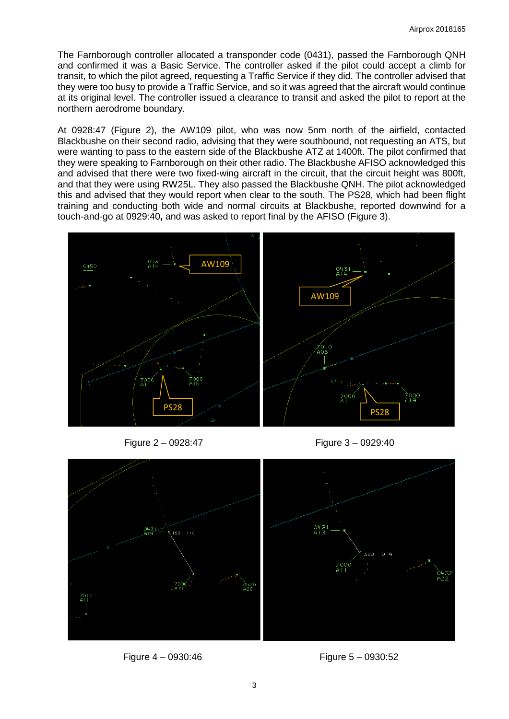The Farnborough controller allocated a transponder code (0431), passed the Farnborough QNH and confirmed it was a Basic Service. The controller asked if the pilot could accept a climb for transit, to which the pilot agreed, requesting a Traffic Service if they did. The controller advised that they were too busy to provide a Traffic Service, and so it was agreed that the aircraft would continue at its original level. The controller issued a clearance to transit and asked the pilot to report at the northern aerodrome boundary.

At 0928:47 (Figure 2), the AW109 pilot, who was now 5nm north of the airfield, contacted Blackbushe on their second radio, advising that they were southbound, not requesting an ATS, but were wanting to pass to the eastern side of the Blackbushe ATZ at 1400ft. The pilot confirmed that they were speaking to Farnborough on their other radio. The Blackbushe AFISO acknowledged this and advised that there were two fixed-wing aircraft in the circuit, that the circuit height was 800ft, and that they were using RW25L. They also passed the Blackbushe QNH. The pilot acknowledged this and advised that they would report when clear to the south. The PS28, which had been flight training and conducting both wide and normal circuits at Blackbushe, reported downwind for a touch-and-go at 0929:40**,** and was asked to report final by the AFISO (Figure 3).



Figure 2 – 0928:47 Figure 3 – 0929:40



Figure 4 – 0930:46 Figure 5 – 0930:52

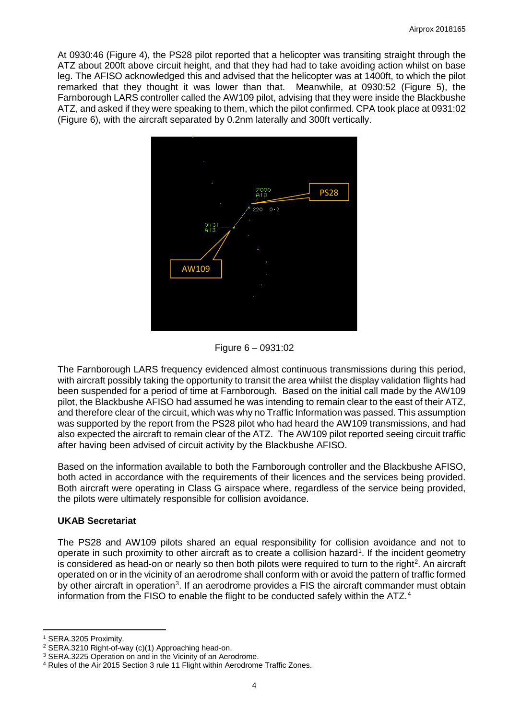At 0930:46 (Figure 4), the PS28 pilot reported that a helicopter was transiting straight through the ATZ about 200ft above circuit height, and that they had had to take avoiding action whilst on base leg. The AFISO acknowledged this and advised that the helicopter was at 1400ft, to which the pilot remarked that they thought it was lower than that. Meanwhile, at 0930:52 (Figure 5), the Farnborough LARS controller called the AW109 pilot, advising that they were inside the Blackbushe ATZ, and asked if they were speaking to them, which the pilot confirmed. CPA took place at 0931:02 (Figure 6), with the aircraft separated by 0.2nm laterally and 300ft vertically.



Figure 6 – 0931:02

The Farnborough LARS frequency evidenced almost continuous transmissions during this period, with aircraft possibly taking the opportunity to transit the area whilst the display validation flights had been suspended for a period of time at Farnborough. Based on the initial call made by the AW109 pilot, the Blackbushe AFISO had assumed he was intending to remain clear to the east of their ATZ, and therefore clear of the circuit, which was why no Traffic Information was passed. This assumption was supported by the report from the PS28 pilot who had heard the AW109 transmissions, and had also expected the aircraft to remain clear of the ATZ. The AW109 pilot reported seeing circuit traffic after having been advised of circuit activity by the Blackbushe AFISO.

Based on the information available to both the Farnborough controller and the Blackbushe AFISO, both acted in accordance with the requirements of their licences and the services being provided. Both aircraft were operating in Class G airspace where, regardless of the service being provided, the pilots were ultimately responsible for collision avoidance.

# **UKAB Secretariat**

The PS28 and AW109 pilots shared an equal responsibility for collision avoidance and not to operate in such proximity to other aircraft as to create a collision hazard<sup>[1](#page-3-0)</sup>. If the incident geometry is considered as head-on or nearly so then both pilots were required to turn to the right<sup>[2](#page-3-1)</sup>. An aircraft operated on or in the vicinity of an aerodrome shall conform with or avoid the pattern of traffic formed by other aircraft in operation<sup>[3](#page-3-2)</sup>. If an aerodrome provides a FIS the aircraft commander must obtain information from the FISO to enable the flight to be conducted safely within the ATZ.[4](#page-3-3)

 $\overline{a}$ <sup>1</sup> SERA.3205 Proximity.

<span id="page-3-1"></span><span id="page-3-0"></span><sup>2</sup> SERA.3210 Right-of-way (c)(1) Approaching head-on.

<span id="page-3-2"></span><sup>3</sup> SERA.3225 Operation on and in the Vicinity of an Aerodrome.

<span id="page-3-3"></span><sup>4</sup> Rules of the Air 2015 Section 3 rule 11 Flight within Aerodrome Traffic Zones.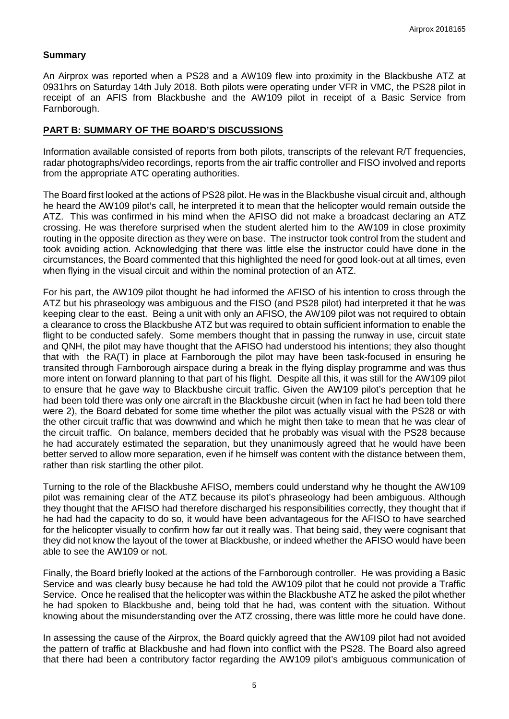### **Summary**

An Airprox was reported when a PS28 and a AW109 flew into proximity in the Blackbushe ATZ at 0931hrs on Saturday 14th July 2018. Both pilots were operating under VFR in VMC, the PS28 pilot in receipt of an AFIS from Blackbushe and the AW109 pilot in receipt of a Basic Service from Farnborough.

### **PART B: SUMMARY OF THE BOARD'S DISCUSSIONS**

Information available consisted of reports from both pilots, transcripts of the relevant R/T frequencies, radar photographs/video recordings, reports from the air traffic controller and FISO involved and reports from the appropriate ATC operating authorities.

The Board first looked at the actions of PS28 pilot. He was in the Blackbushe visual circuit and, although he heard the AW109 pilot's call, he interpreted it to mean that the helicopter would remain outside the ATZ. This was confirmed in his mind when the AFISO did not make a broadcast declaring an ATZ crossing. He was therefore surprised when the student alerted him to the AW109 in close proximity routing in the opposite direction as they were on base. The instructor took control from the student and took avoiding action. Acknowledging that there was little else the instructor could have done in the circumstances, the Board commented that this highlighted the need for good look-out at all times, even when flying in the visual circuit and within the nominal protection of an ATZ.

For his part, the AW109 pilot thought he had informed the AFISO of his intention to cross through the ATZ but his phraseology was ambiguous and the FISO (and PS28 pilot) had interpreted it that he was keeping clear to the east. Being a unit with only an AFISO, the AW109 pilot was not required to obtain a clearance to cross the Blackbushe ATZ but was required to obtain sufficient information to enable the flight to be conducted safely. Some members thought that in passing the runway in use, circuit state and QNH, the pilot may have thought that the AFISO had understood his intentions; they also thought that with the RA(T) in place at Farnborough the pilot may have been task-focused in ensuring he transited through Farnborough airspace during a break in the flying display programme and was thus more intent on forward planning to that part of his flight. Despite all this, it was still for the AW109 pilot to ensure that he gave way to Blackbushe circuit traffic. Given the AW109 pilot's perception that he had been told there was only one aircraft in the Blackbushe circuit (when in fact he had been told there were 2), the Board debated for some time whether the pilot was actually visual with the PS28 or with the other circuit traffic that was downwind and which he might then take to mean that he was clear of the circuit traffic. On balance, members decided that he probably was visual with the PS28 because he had accurately estimated the separation, but they unanimously agreed that he would have been better served to allow more separation, even if he himself was content with the distance between them, rather than risk startling the other pilot.

Turning to the role of the Blackbushe AFISO, members could understand why he thought the AW109 pilot was remaining clear of the ATZ because its pilot's phraseology had been ambiguous. Although they thought that the AFISO had therefore discharged his responsibilities correctly, they thought that if he had had the capacity to do so, it would have been advantageous for the AFISO to have searched for the helicopter visually to confirm how far out it really was. That being said, they were cognisant that they did not know the layout of the tower at Blackbushe, or indeed whether the AFISO would have been able to see the AW109 or not.

Finally, the Board briefly looked at the actions of the Farnborough controller. He was providing a Basic Service and was clearly busy because he had told the AW109 pilot that he could not provide a Traffic Service. Once he realised that the helicopter was within the Blackbushe ATZ he asked the pilot whether he had spoken to Blackbushe and, being told that he had, was content with the situation. Without knowing about the misunderstanding over the ATZ crossing, there was little more he could have done.

In assessing the cause of the Airprox, the Board quickly agreed that the AW109 pilot had not avoided the pattern of traffic at Blackbushe and had flown into conflict with the PS28. The Board also agreed that there had been a contributory factor regarding the AW109 pilot's ambiguous communication of